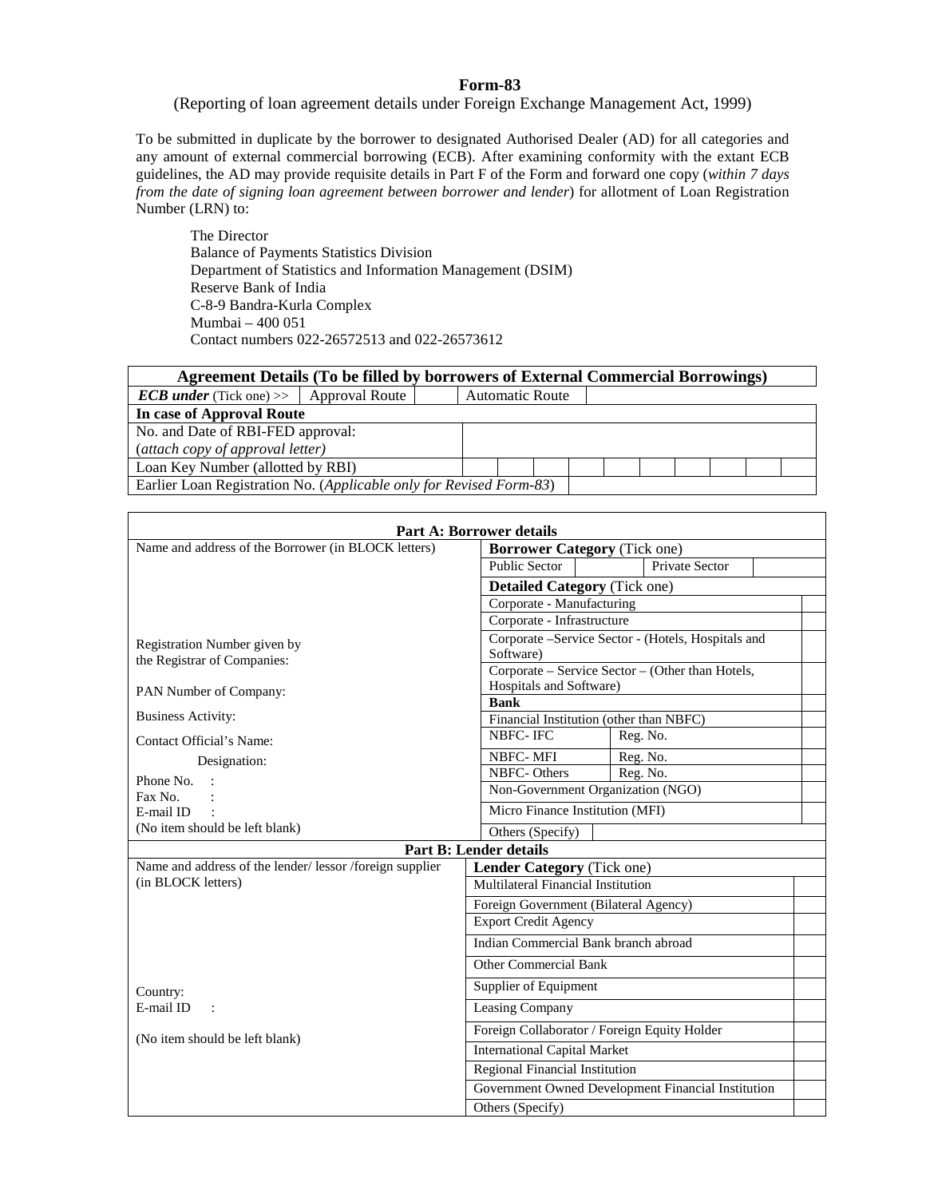## **Form-83**

(Reporting of loan agreement details under Foreign Exchange Management Act, 1999)

To be submitted in duplicate by the borrower to designated Authorised Dealer (AD) for all categories and any amount of external commercial borrowing (ECB). After examining conformity with the extant ECB guidelines, the AD may provide requisite details in Part F of the Form and forward one copy (*within 7 days from the date of signing loan agreement between borrower and lender*) for allotment of Loan Registration Number (LRN) to:

The Director Balance of Payments Statistics Division Department of Statistics and Information Management (DSIM) Reserve Bank of India C-8-9 Bandra-Kurla Complex Mumbai – 400 051 Contact numbers 022-26572513 and 022-26573612

## **Agreement Details (To be filled by borrowers of External Commercial Borrowings)**

| <b>ECB</b> under (Tick one) $>$ Approval Route                      |  |  |  |  | <b>Automatic Route</b> |  |  |  |  |  |  |  |
|---------------------------------------------------------------------|--|--|--|--|------------------------|--|--|--|--|--|--|--|
| In case of Approval Route                                           |  |  |  |  |                        |  |  |  |  |  |  |  |
| No. and Date of RBI-FED approval:                                   |  |  |  |  |                        |  |  |  |  |  |  |  |
| (attach copy of approval letter)                                    |  |  |  |  |                        |  |  |  |  |  |  |  |
| Loan Key Number (allotted by RBI)                                   |  |  |  |  |                        |  |  |  |  |  |  |  |
| Earlier Loan Registration No. (Applicable only for Revised Form-83) |  |  |  |  |                        |  |  |  |  |  |  |  |

|                                                        | <b>Part A: Borrower details</b>                    |  |  |  |  |  |  |  |  |
|--------------------------------------------------------|----------------------------------------------------|--|--|--|--|--|--|--|--|
| Name and address of the Borrower (in BLOCK letters)    | <b>Borrower Category (Tick one)</b>                |  |  |  |  |  |  |  |  |
|                                                        | <b>Public Sector</b><br>Private Sector             |  |  |  |  |  |  |  |  |
|                                                        | <b>Detailed Category (Tick one)</b>                |  |  |  |  |  |  |  |  |
|                                                        | Corporate - Manufacturing                          |  |  |  |  |  |  |  |  |
|                                                        | Corporate - Infrastructure                         |  |  |  |  |  |  |  |  |
| Registration Number given by                           | Corporate -Service Sector - (Hotels, Hospitals and |  |  |  |  |  |  |  |  |
| the Registrar of Companies:                            | Software)                                          |  |  |  |  |  |  |  |  |
|                                                        | Corporate - Service Sector - (Other than Hotels,   |  |  |  |  |  |  |  |  |
| PAN Number of Company:                                 | Hospitals and Software)                            |  |  |  |  |  |  |  |  |
|                                                        | <b>Bank</b>                                        |  |  |  |  |  |  |  |  |
| <b>Business Activity:</b>                              | Financial Institution (other than NBFC)            |  |  |  |  |  |  |  |  |
| Contact Official's Name:                               | NBFC-IFC<br>Reg. No.                               |  |  |  |  |  |  |  |  |
| Designation:                                           | <b>NBFC-MFI</b><br>Reg. No.                        |  |  |  |  |  |  |  |  |
| Phone No.                                              | Reg. No.<br>NBFC-Others                            |  |  |  |  |  |  |  |  |
| Fax No.                                                | Non-Government Organization (NGO)                  |  |  |  |  |  |  |  |  |
| E-mail ID                                              | Micro Finance Institution (MFI)                    |  |  |  |  |  |  |  |  |
| (No item should be left blank)                         | Others (Specify)                                   |  |  |  |  |  |  |  |  |
|                                                        | <b>Part B: Lender details</b>                      |  |  |  |  |  |  |  |  |
| Name and address of the lender/lessor/foreign supplier | Lender Category (Tick one)                         |  |  |  |  |  |  |  |  |
| (in BLOCK letters)                                     | Multilateral Financial Institution                 |  |  |  |  |  |  |  |  |
|                                                        | Foreign Government (Bilateral Agency)              |  |  |  |  |  |  |  |  |
|                                                        | <b>Export Credit Agency</b>                        |  |  |  |  |  |  |  |  |
|                                                        | Indian Commercial Bank branch abroad               |  |  |  |  |  |  |  |  |
|                                                        | <b>Other Commercial Bank</b>                       |  |  |  |  |  |  |  |  |
| Country:                                               | Supplier of Equipment                              |  |  |  |  |  |  |  |  |
| E-mail ID<br>$\sim$ 1                                  | Leasing Company                                    |  |  |  |  |  |  |  |  |
| (No item should be left blank)                         | Foreign Collaborator / Foreign Equity Holder       |  |  |  |  |  |  |  |  |
|                                                        | <b>International Capital Market</b>                |  |  |  |  |  |  |  |  |
|                                                        | Regional Financial Institution                     |  |  |  |  |  |  |  |  |
|                                                        | Government Owned Development Financial Institution |  |  |  |  |  |  |  |  |
|                                                        | Others (Specify)                                   |  |  |  |  |  |  |  |  |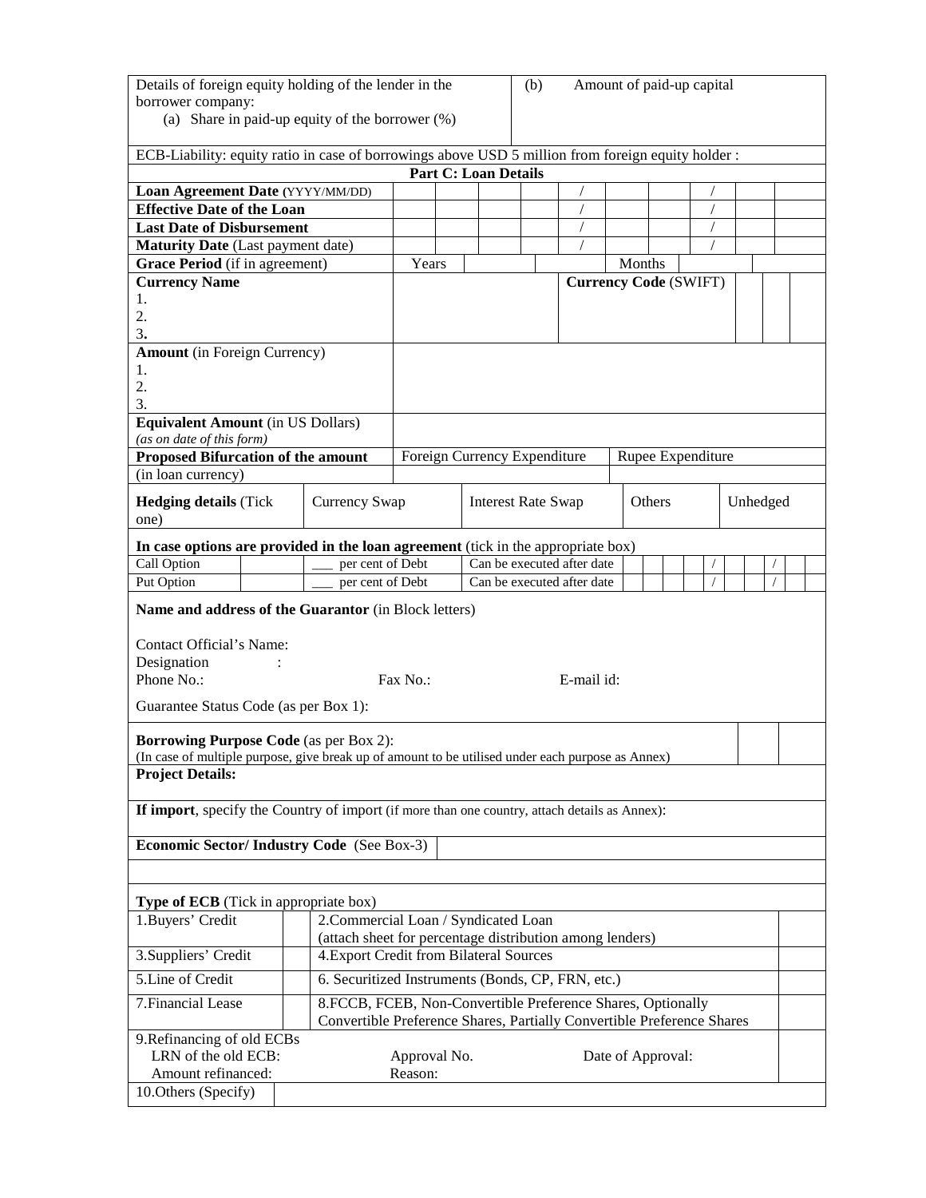| Details of foreign equity holding of the lender in the<br>Amount of paid-up capital<br>(b)<br>borrower company:<br>(a) Share in paid-up equity of the borrower $(\%)$            |                                                                                                                                       |                         |  |                             |  |                              |                              |                   |        |                          |          |  |
|----------------------------------------------------------------------------------------------------------------------------------------------------------------------------------|---------------------------------------------------------------------------------------------------------------------------------------|-------------------------|--|-----------------------------|--|------------------------------|------------------------------|-------------------|--------|--------------------------|----------|--|
| ECB-Liability: equity ratio in case of borrowings above USD 5 million from foreign equity holder :                                                                               |                                                                                                                                       |                         |  |                             |  |                              |                              |                   |        |                          |          |  |
|                                                                                                                                                                                  |                                                                                                                                       |                         |  | <b>Part C: Loan Details</b> |  |                              |                              |                   |        |                          |          |  |
| Loan Agreement Date (YYYY/MM/DD)                                                                                                                                                 |                                                                                                                                       |                         |  |                             |  |                              |                              |                   |        |                          |          |  |
| <b>Effective Date of the Loan</b><br><b>Last Date of Disbursement</b>                                                                                                            |                                                                                                                                       |                         |  |                             |  |                              | $\sqrt{2}$<br>$\sqrt{2}$     |                   |        | $\sqrt{2}$<br>$\sqrt{2}$ |          |  |
| <b>Maturity Date</b> (Last payment date)                                                                                                                                         |                                                                                                                                       |                         |  |                             |  |                              | $\sqrt{2}$                   |                   |        | $\sqrt{2}$               |          |  |
| Grace Period (if in agreement)                                                                                                                                                   |                                                                                                                                       | Years                   |  |                             |  |                              |                              | Months            |        |                          |          |  |
| <b>Currency Name</b>                                                                                                                                                             |                                                                                                                                       |                         |  |                             |  |                              | <b>Currency Code (SWIFT)</b> |                   |        |                          |          |  |
| 1.<br>2.<br>3.                                                                                                                                                                   |                                                                                                                                       |                         |  |                             |  |                              |                              |                   |        |                          |          |  |
| <b>Amount</b> (in Foreign Currency)                                                                                                                                              |                                                                                                                                       |                         |  |                             |  |                              |                              |                   |        |                          |          |  |
| 1.<br>2.<br>3.<br><b>Equivalent Amount (in US Dollars)</b>                                                                                                                       |                                                                                                                                       |                         |  |                             |  |                              |                              |                   |        |                          |          |  |
| (as on date of this form)                                                                                                                                                        |                                                                                                                                       |                         |  |                             |  |                              |                              |                   |        |                          |          |  |
| Proposed Bifurcation of the amount                                                                                                                                               |                                                                                                                                       |                         |  |                             |  | Foreign Currency Expenditure |                              |                   |        | Rupee Expenditure        |          |  |
| (in loan currency)                                                                                                                                                               |                                                                                                                                       |                         |  |                             |  |                              |                              |                   |        |                          |          |  |
| <b>Hedging details (Tick</b><br>one)                                                                                                                                             | Currency Swap                                                                                                                         |                         |  |                             |  | <b>Interest Rate Swap</b>    |                              |                   | Others |                          | Unhedged |  |
| In case options are provided in the loan agreement (tick in the appropriate box)                                                                                                 |                                                                                                                                       |                         |  |                             |  |                              |                              |                   |        |                          |          |  |
| Call Option                                                                                                                                                                      | per cent of Debt                                                                                                                      |                         |  |                             |  |                              | Can be executed after date   |                   |        |                          |          |  |
| Put Option<br>per cent of Debt<br>Can be executed after date                                                                                                                     |                                                                                                                                       |                         |  |                             |  |                              |                              |                   |        |                          |          |  |
| Name and address of the Guarantor (in Block letters)<br>Contact Official's Name:<br>Designation<br>Phone No.:<br>Fax No.:<br>E-mail id:<br>Guarantee Status Code (as per Box 1): |                                                                                                                                       |                         |  |                             |  |                              |                              |                   |        |                          |          |  |
| <b>Borrowing Purpose Code</b> (as per Box 2):<br>(In case of multiple purpose, give break up of amount to be utilised under each purpose as Annex)                               |                                                                                                                                       |                         |  |                             |  |                              |                              |                   |        |                          |          |  |
| <b>Project Details:</b>                                                                                                                                                          |                                                                                                                                       |                         |  |                             |  |                              |                              |                   |        |                          |          |  |
| If import, specify the Country of import (if more than one country, attach details as Annex):                                                                                    |                                                                                                                                       |                         |  |                             |  |                              |                              |                   |        |                          |          |  |
| Economic Sector/Industry Code (See Box-3)                                                                                                                                        |                                                                                                                                       |                         |  |                             |  |                              |                              |                   |        |                          |          |  |
| Type of ECB (Tick in appropriate box)                                                                                                                                            |                                                                                                                                       |                         |  |                             |  |                              |                              |                   |        |                          |          |  |
| 1. Buyers' Credit                                                                                                                                                                | 2. Commercial Loan / Syndicated Loan                                                                                                  |                         |  |                             |  |                              |                              |                   |        |                          |          |  |
| 3. Suppliers' Credit                                                                                                                                                             | (attach sheet for percentage distribution among lenders)                                                                              |                         |  |                             |  |                              |                              |                   |        |                          |          |  |
| 4. Export Credit from Bilateral Sources<br>6. Securitized Instruments (Bonds, CP, FRN, etc.)                                                                                     |                                                                                                                                       |                         |  |                             |  |                              |                              |                   |        |                          |          |  |
| 5.Line of Credit                                                                                                                                                                 |                                                                                                                                       |                         |  |                             |  |                              |                              |                   |        |                          |          |  |
| 7. Financial Lease                                                                                                                                                               | 8.FCCB, FCEB, Non-Convertible Preference Shares, Optionally<br>Convertible Preference Shares, Partially Convertible Preference Shares |                         |  |                             |  |                              |                              |                   |        |                          |          |  |
| 9. Refinancing of old ECBs<br>LRN of the old ECB:<br>Amount refinanced:<br>10.Others (Specify)                                                                                   |                                                                                                                                       | Approval No.<br>Reason: |  |                             |  |                              |                              | Date of Approval: |        |                          |          |  |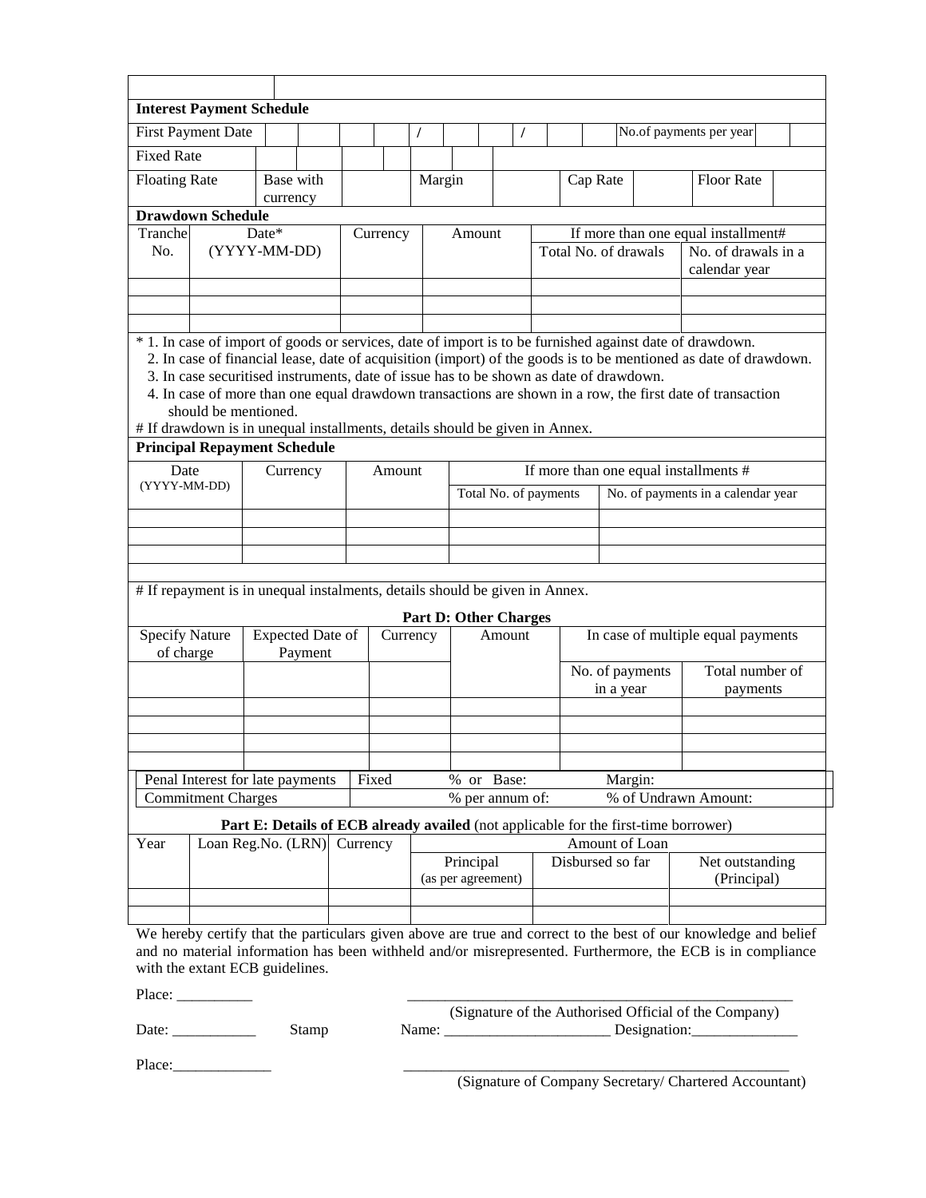|                                                                                                            | <b>Interest Payment Schedule</b>                                                                                                                                                                                                                                                                                                                                                                                                                            |                  |         |          |          |          |  |                                 |                       |  |                                    |           |                 |                                                                                                                 |  |
|------------------------------------------------------------------------------------------------------------|-------------------------------------------------------------------------------------------------------------------------------------------------------------------------------------------------------------------------------------------------------------------------------------------------------------------------------------------------------------------------------------------------------------------------------------------------------------|------------------|---------|----------|----------|----------|--|---------------------------------|-----------------------|--|------------------------------------|-----------|-----------------|-----------------------------------------------------------------------------------------------------------------|--|
|                                                                                                            | <b>First Payment Date</b>                                                                                                                                                                                                                                                                                                                                                                                                                                   |                  |         |          |          |          |  |                                 | $\prime$              |  |                                    |           |                 | No.of payments per year                                                                                         |  |
| <b>Fixed Rate</b>                                                                                          |                                                                                                                                                                                                                                                                                                                                                                                                                                                             |                  |         |          |          |          |  |                                 |                       |  |                                    |           |                 |                                                                                                                 |  |
| <b>Floating Rate</b>                                                                                       |                                                                                                                                                                                                                                                                                                                                                                                                                                                             | Base with        |         |          | Margin   |          |  |                                 |                       |  | Cap Rate                           |           |                 | <b>Floor Rate</b>                                                                                               |  |
|                                                                                                            | <b>Drawdown Schedule</b>                                                                                                                                                                                                                                                                                                                                                                                                                                    | currency         |         |          |          |          |  |                                 |                       |  |                                    |           |                 |                                                                                                                 |  |
| Tranchel                                                                                                   |                                                                                                                                                                                                                                                                                                                                                                                                                                                             | Date*            |         |          |          |          |  | Amount                          |                       |  |                                    |           |                 | If more than one equal installment#                                                                             |  |
| No.                                                                                                        |                                                                                                                                                                                                                                                                                                                                                                                                                                                             | (YYYY-MM-DD)     |         |          | Currency |          |  |                                 |                       |  | Total No. of drawals               |           |                 | No. of drawals in a<br>calendar year                                                                            |  |
|                                                                                                            |                                                                                                                                                                                                                                                                                                                                                                                                                                                             |                  |         |          |          |          |  |                                 |                       |  |                                    |           |                 |                                                                                                                 |  |
|                                                                                                            | * 1. In case of import of goods or services, date of import is to be furnished against date of drawdown.<br>2. In case of financial lease, date of acquisition (import) of the goods is to be mentioned as date of drawdown.<br>3. In case securitised instruments, date of issue has to be shown as date of drawdown.<br>4. In case of more than one equal drawdown transactions are shown in a row, the first date of transaction<br>should be mentioned. |                  |         |          |          |          |  |                                 |                       |  |                                    |           |                 |                                                                                                                 |  |
|                                                                                                            | # If drawdown is in unequal installments, details should be given in Annex.                                                                                                                                                                                                                                                                                                                                                                                 |                  |         |          |          |          |  |                                 |                       |  |                                    |           |                 |                                                                                                                 |  |
| <b>Principal Repayment Schedule</b><br>If more than one equal installments #<br>Date<br>Currency<br>Amount |                                                                                                                                                                                                                                                                                                                                                                                                                                                             |                  |         |          |          |          |  |                                 |                       |  |                                    |           |                 |                                                                                                                 |  |
|                                                                                                            | (YYYY-MM-DD)                                                                                                                                                                                                                                                                                                                                                                                                                                                |                  |         |          |          |          |  |                                 | Total No. of payments |  |                                    |           |                 | No. of payments in a calendar year                                                                              |  |
|                                                                                                            |                                                                                                                                                                                                                                                                                                                                                                                                                                                             |                  |         |          |          |          |  |                                 |                       |  |                                    |           |                 |                                                                                                                 |  |
|                                                                                                            |                                                                                                                                                                                                                                                                                                                                                                                                                                                             |                  |         |          |          |          |  |                                 |                       |  |                                    |           |                 |                                                                                                                 |  |
|                                                                                                            |                                                                                                                                                                                                                                                                                                                                                                                                                                                             |                  |         |          |          |          |  |                                 |                       |  |                                    |           |                 |                                                                                                                 |  |
|                                                                                                            | # If repayment is in unequal instalments, details should be given in Annex.                                                                                                                                                                                                                                                                                                                                                                                 |                  |         |          |          |          |  |                                 |                       |  |                                    |           |                 |                                                                                                                 |  |
|                                                                                                            |                                                                                                                                                                                                                                                                                                                                                                                                                                                             |                  |         |          |          |          |  | <b>Part D: Other Charges</b>    |                       |  |                                    |           |                 |                                                                                                                 |  |
| <b>Specify Nature</b><br>of charge                                                                         |                                                                                                                                                                                                                                                                                                                                                                                                                                                             | Expected Date of | Payment |          |          | Currency |  |                                 | Amount                |  |                                    |           |                 | In case of multiple equal payments                                                                              |  |
|                                                                                                            |                                                                                                                                                                                                                                                                                                                                                                                                                                                             |                  |         |          |          |          |  |                                 |                       |  |                                    | in a year | No. of payments | Total number of<br>payments                                                                                     |  |
|                                                                                                            |                                                                                                                                                                                                                                                                                                                                                                                                                                                             |                  |         |          |          |          |  |                                 |                       |  |                                    |           |                 |                                                                                                                 |  |
|                                                                                                            |                                                                                                                                                                                                                                                                                                                                                                                                                                                             |                  |         |          |          |          |  |                                 |                       |  |                                    |           |                 |                                                                                                                 |  |
|                                                                                                            |                                                                                                                                                                                                                                                                                                                                                                                                                                                             |                  |         |          |          |          |  |                                 |                       |  |                                    |           |                 |                                                                                                                 |  |
|                                                                                                            | Penal Interest for late payments<br><b>Commitment Charges</b>                                                                                                                                                                                                                                                                                                                                                                                               |                  |         |          | Fixed    |          |  | % or Base:<br>% per annum of:   |                       |  |                                    | Margin:   |                 | % of Undrawn Amount:                                                                                            |  |
|                                                                                                            |                                                                                                                                                                                                                                                                                                                                                                                                                                                             |                  |         |          |          |          |  |                                 |                       |  |                                    |           |                 |                                                                                                                 |  |
| Year                                                                                                       | Loan Reg.No. (LRN)                                                                                                                                                                                                                                                                                                                                                                                                                                          |                  |         | Currency |          |          |  |                                 |                       |  |                                    |           |                 | Part E: Details of ECB already availed (not applicable for the first-time borrower)                             |  |
|                                                                                                            |                                                                                                                                                                                                                                                                                                                                                                                                                                                             |                  |         |          |          |          |  | Principal<br>(as per agreement) |                       |  | Amount of Loan<br>Disbursed so far |           |                 | Net outstanding<br>(Principal)                                                                                  |  |
|                                                                                                            |                                                                                                                                                                                                                                                                                                                                                                                                                                                             |                  |         |          |          |          |  |                                 |                       |  |                                    |           |                 |                                                                                                                 |  |
|                                                                                                            |                                                                                                                                                                                                                                                                                                                                                                                                                                                             |                  |         |          |          |          |  |                                 |                       |  |                                    |           |                 | We hereby certify that the particulars given above are true and correct to the best of our knowledge and belief |  |
|                                                                                                            |                                                                                                                                                                                                                                                                                                                                                                                                                                                             |                  |         |          |          |          |  |                                 |                       |  |                                    |           |                 | and no material information has been withheld and/or misrepresented. Furthermore, the ECB is in compliance      |  |
|                                                                                                            | with the extant ECB guidelines.                                                                                                                                                                                                                                                                                                                                                                                                                             |                  |         |          |          |          |  |                                 |                       |  |                                    |           |                 |                                                                                                                 |  |

Place: \_\_\_\_\_\_\_\_\_\_ \_\_\_\_\_\_\_\_\_\_\_\_\_\_\_\_\_\_\_\_\_\_\_\_\_\_\_\_\_\_\_\_\_\_\_\_\_\_\_\_\_\_\_\_\_\_\_\_\_\_\_

 (Signature of the Authorised Official of the Company) Stamp Name: Name: Designation:

Place:\_\_\_\_\_\_\_\_\_\_\_\_\_ \_\_\_\_\_\_\_\_\_\_\_\_\_\_\_\_\_\_\_\_\_\_\_\_\_\_\_\_\_\_\_\_\_\_\_\_\_\_\_\_\_\_\_\_\_\_\_\_\_\_\_

(Signature of Company Secretary/ Chartered Accountant)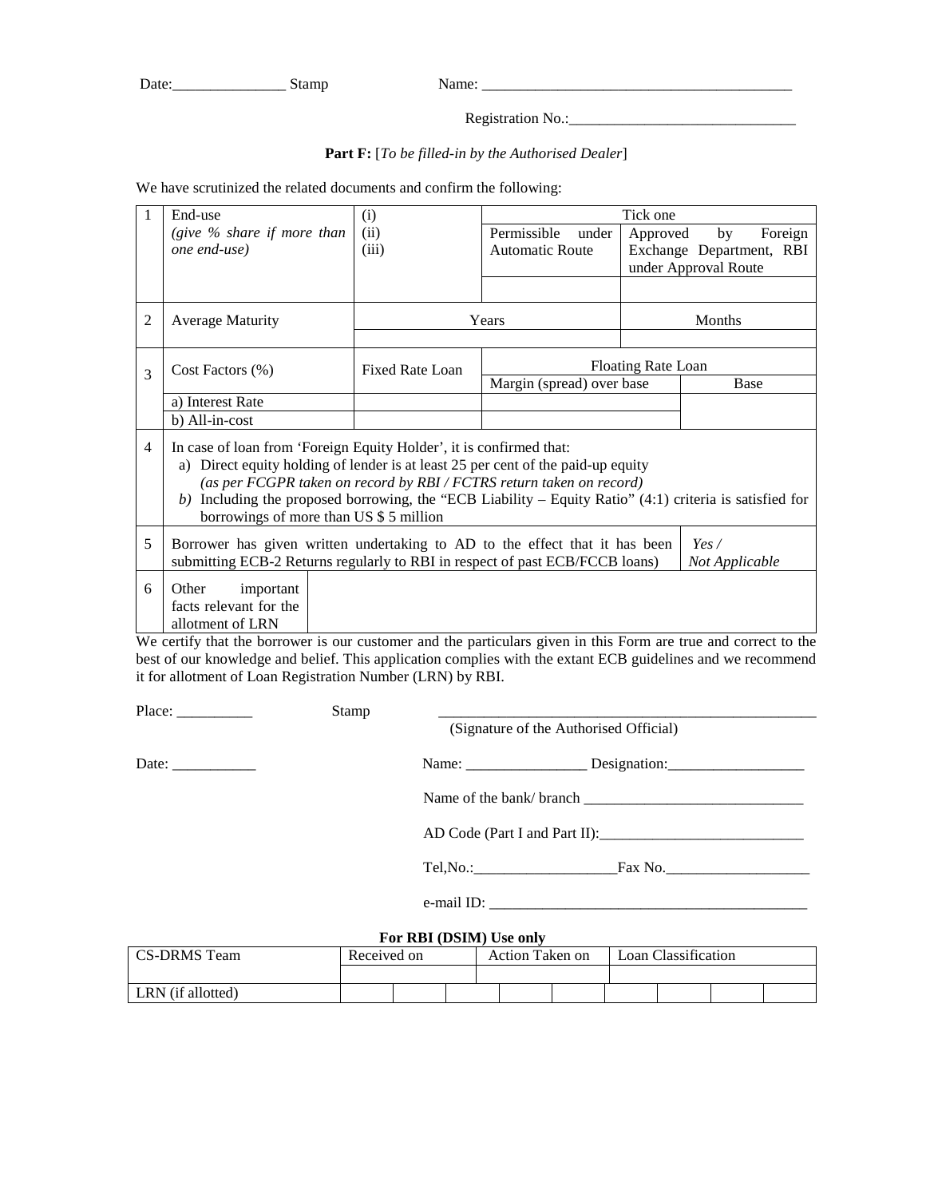| -<br>Dαι | . |  |
|----------|---|--|
|          |   |  |

|--|

Registration No.:

## **Part F:** [*To be filled-in by the Authorised Dealer*]

We have scrutinized the related documents and confirm the following:

|                | End-use                                                                                                                                                                                                                                                                                                                                                                                 | (i)                    |                           | Tick one |                          |  |  |  |  |  |  |
|----------------|-----------------------------------------------------------------------------------------------------------------------------------------------------------------------------------------------------------------------------------------------------------------------------------------------------------------------------------------------------------------------------------------|------------------------|---------------------------|----------|--------------------------|--|--|--|--|--|--|
|                | (give $\%$ share if more than                                                                                                                                                                                                                                                                                                                                                           | (ii)                   | Permissible<br>under      | Approved | Foreign<br>by            |  |  |  |  |  |  |
|                | one end-use)                                                                                                                                                                                                                                                                                                                                                                            | (iii)                  | <b>Automatic Route</b>    |          | Exchange Department, RBI |  |  |  |  |  |  |
|                |                                                                                                                                                                                                                                                                                                                                                                                         |                        |                           |          | under Approval Route     |  |  |  |  |  |  |
|                |                                                                                                                                                                                                                                                                                                                                                                                         |                        |                           |          |                          |  |  |  |  |  |  |
| $\overline{c}$ | <b>Average Maturity</b>                                                                                                                                                                                                                                                                                                                                                                 |                        | Years                     | Months   |                          |  |  |  |  |  |  |
|                |                                                                                                                                                                                                                                                                                                                                                                                         |                        |                           |          |                          |  |  |  |  |  |  |
| 3              | Cost Factors $(\% )$                                                                                                                                                                                                                                                                                                                                                                    | <b>Fixed Rate Loan</b> | <b>Floating Rate Loan</b> |          |                          |  |  |  |  |  |  |
|                |                                                                                                                                                                                                                                                                                                                                                                                         |                        | Margin (spread) over base |          | Base                     |  |  |  |  |  |  |
|                | a) Interest Rate                                                                                                                                                                                                                                                                                                                                                                        |                        |                           |          |                          |  |  |  |  |  |  |
|                | b) All-in-cost                                                                                                                                                                                                                                                                                                                                                                          |                        |                           |          |                          |  |  |  |  |  |  |
| 4              | In case of loan from 'Foreign Equity Holder', it is confirmed that:<br>a) Direct equity holding of lender is at least 25 per cent of the paid-up equity<br>(as per FCGPR taken on record by RBI / FCTRS return taken on record)<br>b) Including the proposed borrowing, the "ECB Liability – Equity Ratio" $(4:1)$ criteria is satisfied for<br>borrowings of more than US \$ 5 million |                        |                           |          |                          |  |  |  |  |  |  |
| 5              | Borrower has given written undertaking to AD to the effect that it has been<br>Yes/<br>submitting ECB-2 Returns regularly to RBI in respect of past ECB/FCCB loans)<br>Not Applicable                                                                                                                                                                                                   |                        |                           |          |                          |  |  |  |  |  |  |
| 6              | Other<br>important<br>facts relevant for the<br>allotment of LRN                                                                                                                                                                                                                                                                                                                        |                        |                           |          |                          |  |  |  |  |  |  |

We certify that the borrower is our customer and the particulars given in this Form are true and correct to the best of our knowledge and belief. This application complies with the extant ECB guidelines and we recommend it for allotment of Loan Registration Number (LRN) by RBI.

Place: \_\_\_\_\_\_\_\_\_\_ Stamp \_\_\_\_\_\_\_\_\_\_\_\_\_\_\_\_\_\_\_\_\_\_\_\_\_\_\_\_\_\_\_\_\_\_\_\_\_\_\_\_\_\_\_\_\_\_\_\_\_\_

(Signature of the Authorised Official)

Date: \_\_\_\_\_\_\_\_\_\_\_ Name: \_\_\_\_\_\_\_\_\_\_\_\_\_\_\_\_ Designation:\_\_\_\_\_\_\_\_\_\_\_\_\_\_\_\_\_\_

Name of the bank/ branch \_\_\_\_\_\_\_\_\_\_\_\_\_\_\_\_\_\_\_\_\_\_\_\_\_\_\_\_\_

AD Code (Part I and Part II):\_\_\_\_\_\_\_\_\_\_\_\_\_\_\_\_\_\_\_\_\_\_\_\_\_\_\_

Tel,No.:\_\_\_\_\_\_\_\_\_\_\_\_\_\_\_\_\_\_\_Fax No.\_\_\_\_\_\_\_\_\_\_\_\_\_\_\_\_\_\_\_

e-mail ID: \_\_\_\_\_\_\_\_\_\_\_\_\_\_\_\_\_\_\_\_\_\_\_\_\_\_\_\_\_\_\_\_\_\_\_\_\_\_\_\_\_\_

## **For RBI (DSIM) Use only**

| CS-DRMS Team      | Received on |  |  | Action Taken on |  |  | Loan Classification |  |  |  |
|-------------------|-------------|--|--|-----------------|--|--|---------------------|--|--|--|
|                   |             |  |  |                 |  |  |                     |  |  |  |
| LRN (if allotted) |             |  |  |                 |  |  |                     |  |  |  |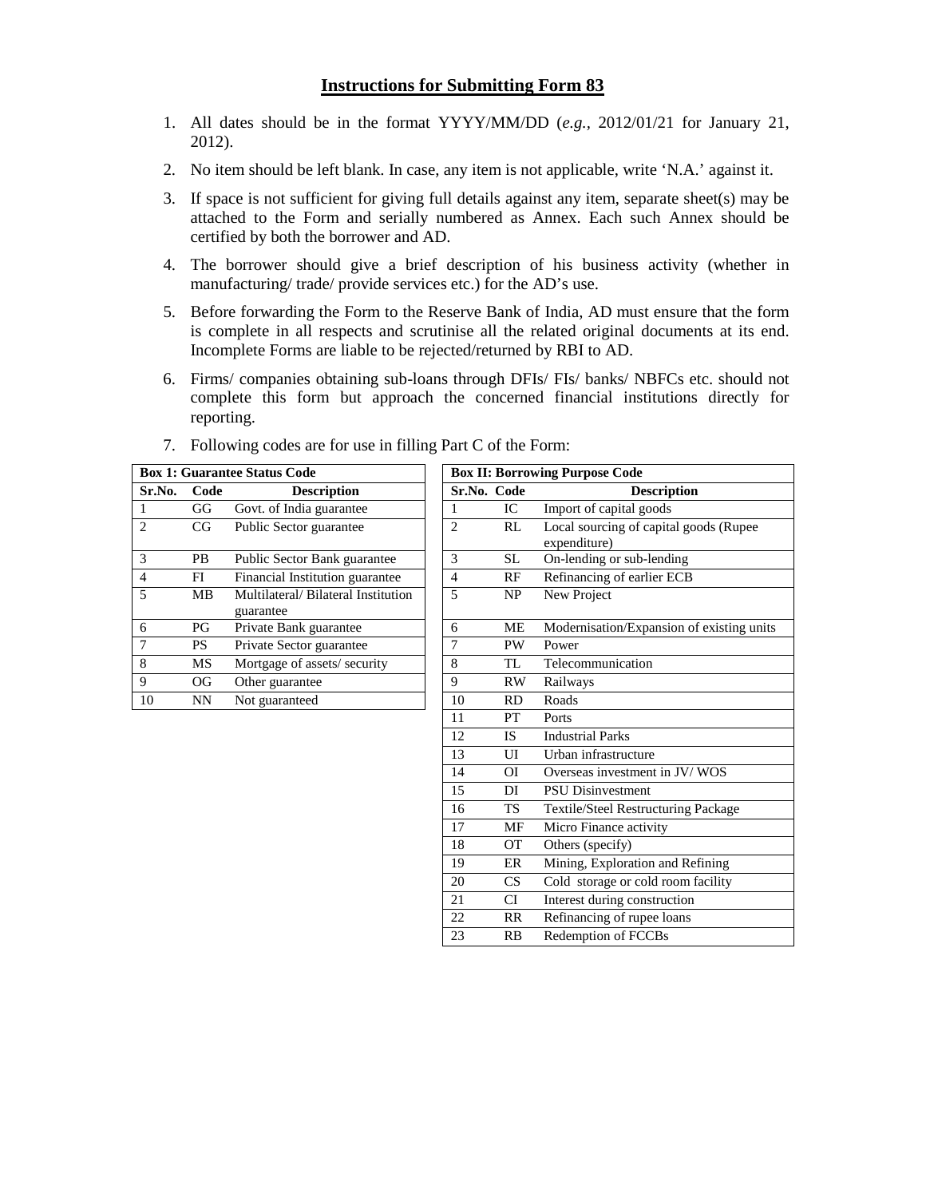- 1. All dates should be in the format YYYY/MM/DD (*e.g.,* 2012/01/21 for January 21, 2012).
- 2. No item should be left blank. In case, any item is not applicable, write 'N.A.' against it.
- 3. If space is not sufficient for giving full details against any item, separate sheet(s) may be attached to the Form and serially numbered as Annex. Each such Annex should be certified by both the borrower and AD.
- 4. The borrower should give a brief description of his business activity (whether in manufacturing/ trade/ provide services etc.) for the AD's use.
- 5. Before forwarding the Form to the Reserve Bank of India, AD must ensure that the form is complete in all respects and scrutinise all the related original documents at its end. Incomplete Forms are liable to be rejected/returned by RBI to AD.
- 6. Firms/ companies obtaining sub-loans through DFIs/ FIs/ banks/ NBFCs etc. should not complete this form but approach the concerned financial institutions directly for reporting.

|                             |           | <b>Box 1: Guarantee Status Code</b>             |                |             | <b>Box II: Borrowing Purpose Code</b>        |
|-----------------------------|-----------|-------------------------------------------------|----------------|-------------|----------------------------------------------|
| Sr.No.                      | Code      | <b>Description</b>                              |                | Sr.No. Code | <b>Description</b>                           |
|                             | GG        | Govt. of India guarantee                        |                | IC          | Import of capital goods                      |
| $\mathcal{D}_{\mathcal{A}}$ | CG        | Public Sector guarantee                         | $\overline{2}$ | RL          | Local sourcing of capital go<br>expenditure) |
| $\mathcal{R}$               | <b>PB</b> | Public Sector Bank guarantee                    | 3              | <b>SL</b>   | On-lending or sub-lending                    |
| $\overline{4}$              | FI        | Financial Institution guarantee                 | 4              | RF          | Refinancing of earlier ECB                   |
| $\overline{\phantom{0}}$    | <b>MB</b> | Multilateral/Bilateral Institution<br>guarantee | 5              | <b>NP</b>   | New Project                                  |
| 6                           | <b>PG</b> | Private Bank guarantee                          | 6              | ME          | Modernisation/Expansion of                   |
| 7                           | <b>PS</b> | Private Sector guarantee                        | 7              | <b>PW</b>   | Power                                        |
| 8                           | MS        | Mortgage of assets/security                     | 8              | TL.         | Telecommunication                            |
| 9                           | OG        | Other guarantee                                 | 9              | <b>RW</b>   | Railways                                     |
| 10                          | NN        | Not guaranteed                                  | 10             | <b>RD</b>   | Roads                                        |

| 7. Following codes are for use in filling Part C of the Form: |  |  |  |  |
|---------------------------------------------------------------|--|--|--|--|
|                                                               |  |  |  |  |

|                |           | <b>Box 1: Guarantee Status Code</b>             |                |           | <b>Box II: Borrowing Purpose Code</b>                  |
|----------------|-----------|-------------------------------------------------|----------------|-----------|--------------------------------------------------------|
| Sr.No.         | Code      | <b>Description</b>                              | Sr.No. Code    |           | <b>Description</b>                                     |
| $\mathbf{1}$   | GG        | Govt. of India guarantee                        | 1              | IC        | Import of capital goods                                |
| $\overline{2}$ | CG        | Public Sector guarantee                         | $\overline{c}$ | RL        | Local sourcing of capital goods (Rupee<br>expenditure) |
| $\overline{3}$ | <b>PB</b> | Public Sector Bank guarantee                    | 3              | <b>SL</b> | On-lending or sub-lending                              |
| $\overline{4}$ | FI        | Financial Institution guarantee                 | $\overline{4}$ | RF        | Refinancing of earlier ECB                             |
| 5              | MВ        | Multilateral/Bilateral Institution<br>guarantee | 5              | NP        | New Project                                            |
| 6              | PG        | Private Bank guarantee                          | 6              | ME        | Modernisation/Expansion of existing units              |
| 7              | <b>PS</b> | Private Sector guarantee                        | $\tau$         | PW        | Power                                                  |
| 8              | MS        | Mortgage of assets/security                     | 8              | TL        | Telecommunication                                      |
| $\overline{9}$ | <b>OG</b> | Other guarantee                                 | 9              | RW        | Railways                                               |
| 10             | <b>NN</b> | Not guaranteed                                  | 10             | <b>RD</b> | Roads                                                  |
|                |           |                                                 | 11             | PT        | Ports                                                  |
|                |           |                                                 | 12             | IS.       | <b>Industrial Parks</b>                                |
|                |           |                                                 | 13             | UI        | Urban infrastructure                                   |
|                |           |                                                 | 14             | ΟI        | Overseas investment in JV/WOS                          |
|                |           |                                                 | 15             | DI        | <b>PSU Disinvestment</b>                               |
|                |           |                                                 | 16             | <b>TS</b> | Textile/Steel Restructuring Package                    |
|                |           |                                                 | 17             | MF        | Micro Finance activity                                 |
|                |           |                                                 | 18             | <b>OT</b> | Others (specify)                                       |
|                |           |                                                 | 19             | ER        | Mining, Exploration and Refining                       |
|                |           |                                                 | 20             | CS        | Cold storage or cold room facility                     |
|                |           |                                                 | 21             | CI        | Interest during construction                           |
|                |           |                                                 | 22             | <b>RR</b> | Refinancing of rupee loans                             |
|                |           |                                                 | 23             | RB        | Redemption of FCCBs                                    |
|                |           |                                                 |                |           |                                                        |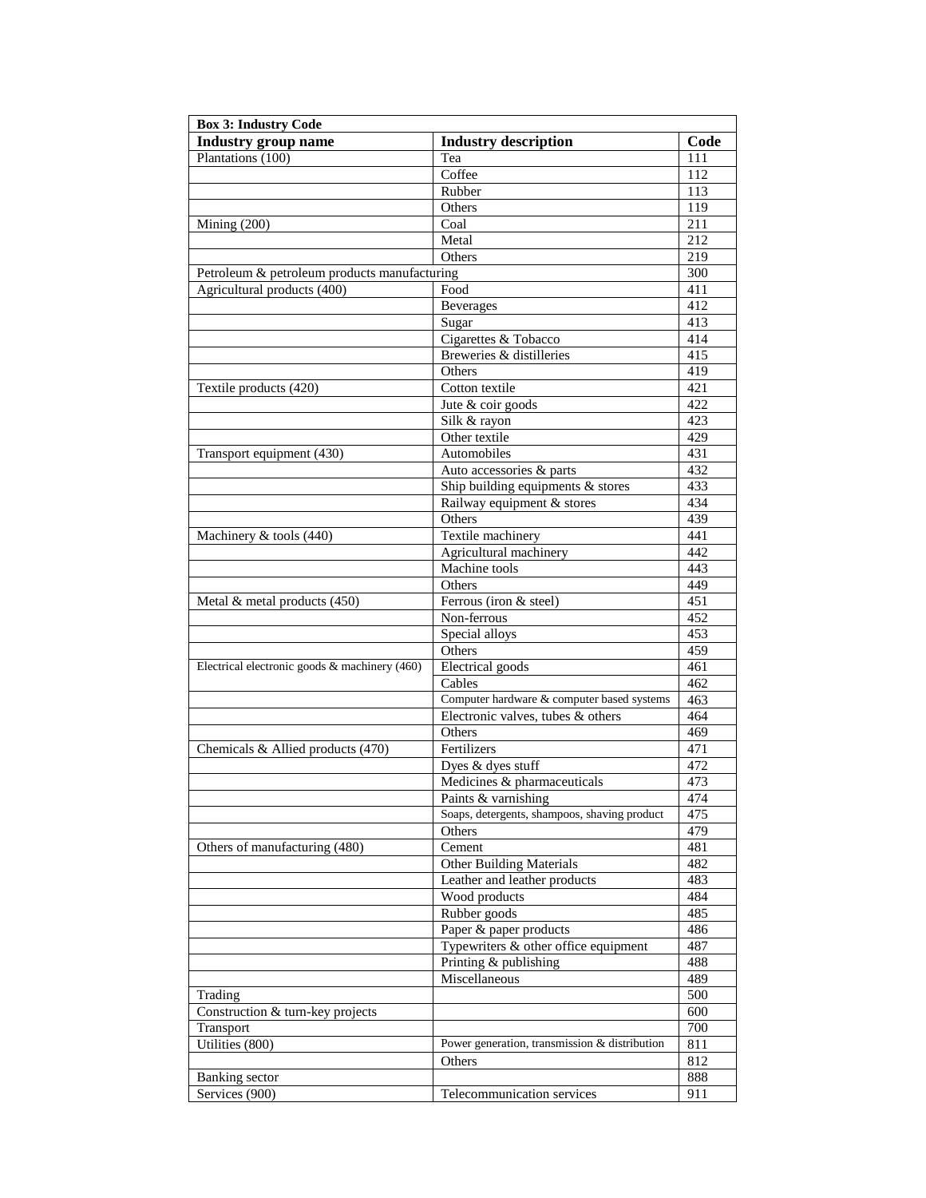| <b>Box 3: Industry Code</b>                   |                                                               |                  |
|-----------------------------------------------|---------------------------------------------------------------|------------------|
| <b>Industry group name</b>                    | <b>Industry description</b>                                   | Code             |
| Plantations (100)                             | Tea                                                           | 111              |
|                                               | Coffee                                                        | 112              |
|                                               | Rubber                                                        | 113              |
|                                               | Others                                                        | 119              |
| Mining $(200)$                                | Coal                                                          | 211              |
|                                               | Metal                                                         | 212              |
|                                               | Others                                                        | 219              |
| Petroleum & petroleum products manufacturing  |                                                               | 300              |
| Agricultural products (400)                   | Food                                                          | 411              |
|                                               | <b>Beverages</b>                                              | 412              |
|                                               | Sugar                                                         | 413              |
|                                               | Cigarettes & Tobacco                                          | 414              |
|                                               | Breweries & distilleries                                      | 415              |
|                                               | Others                                                        | 419              |
| Textile products (420)                        | Cotton textile                                                | $\overline{421}$ |
|                                               | Jute & coir goods                                             | 422              |
|                                               | Silk & rayon                                                  | 423              |
|                                               | Other textile                                                 | 429              |
|                                               | Automobiles                                                   | 431              |
| Transport equipment (430)                     |                                                               | 432              |
|                                               | Auto accessories & parts<br>Ship building equipments & stores | 433              |
|                                               |                                                               |                  |
|                                               | Railway equipment & stores                                    | 434              |
|                                               | Others                                                        | 439              |
| Machinery & tools (440)                       | Textile machinery                                             | 441              |
|                                               | Agricultural machinery                                        | 442              |
|                                               | Machine tools                                                 | 443              |
|                                               | Others                                                        | 449              |
| Metal & metal products (450)                  | Ferrous (iron & steel)                                        | 451              |
|                                               | Non-ferrous                                                   | 452              |
|                                               | Special alloys                                                | 453              |
|                                               | Others                                                        | 459              |
| Electrical electronic goods & machinery (460) | <b>Electrical</b> goods                                       | 461              |
|                                               | Cables                                                        | 462              |
|                                               | Computer hardware & computer based systems                    | 463              |
|                                               | Electronic valves, tubes & others                             | 464              |
|                                               | Others                                                        | 469              |
| Chemicals & Allied products (470)             | Fertilizers                                                   | 471              |
|                                               | Dyes & dyes stuff                                             | 472              |
|                                               | Medicines & pharmaceuticals                                   | 473              |
|                                               | Paints & varnishing                                           | 474              |
|                                               | Soaps, detergents, shampoos, shaving product                  | 475              |
|                                               | Others                                                        | 479              |
| Others of manufacturing (480)                 | Cement                                                        | 481              |
|                                               | <b>Other Building Materials</b>                               | 482              |
|                                               | Leather and leather products                                  | 483              |
|                                               | Wood products                                                 | 484              |
|                                               | Rubber goods                                                  | 485              |
|                                               | Paper & paper products                                        | 486              |
|                                               | Typewriters & other office equipment                          | 487              |
|                                               | Printing & publishing                                         | 488              |
|                                               | Miscellaneous                                                 | 489              |
| Trading                                       |                                                               | 500              |
| Construction & turn-key projects              |                                                               | 600              |
| Transport                                     |                                                               | 700              |
| Utilities (800)                               | Power generation, transmission & distribution                 | 811              |
|                                               | Others                                                        | 812              |
| Banking sector                                |                                                               | 888              |
| Services (900)                                | Telecommunication services                                    | 911              |